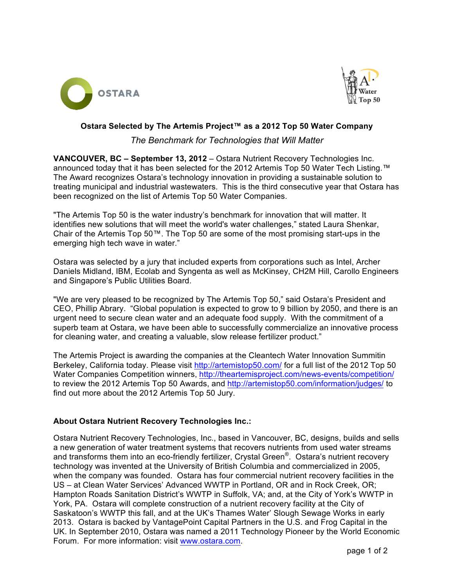



#### **Ostara Selected by The Artemis Project™ as a 2012 Top 50 Water Company**

## *The Benchmark for Technologies that Will Matter*

**VANCOUVER, BC – September 13, 2012** – Ostara Nutrient Recovery Technologies Inc. announced today that it has been selected for the 2012 Artemis Top 50 Water Tech Listing.™ The Award recognizes Ostara's technology innovation in providing a sustainable solution to treating municipal and industrial wastewaters. This is the third consecutive year that Ostara has been recognized on the list of Artemis Top 50 Water Companies.

"The Artemis Top 50 is the water industry's benchmark for innovation that will matter. It identifies new solutions that will meet the world's water challenges," stated Laura Shenkar, Chair of the Artemis Top 50™. The Top 50 are some of the most promising start-ups in the emerging high tech wave in water."

Ostara was selected by a jury that included experts from corporations such as Intel, Archer Daniels Midland, IBM, Ecolab and Syngenta as well as McKinsey, CH2M Hill, Carollo Engineers and Singapore's Public Utilities Board.

"We are very pleased to be recognized by The Artemis Top 50," said Ostara's President and CEO, Phillip Abrary. "Global population is expected to grow to 9 billion by 2050, and there is an urgent need to secure clean water and an adequate food supply. With the commitment of a superb team at Ostara, we have been able to successfully commercialize an innovative process for cleaning water, and creating a valuable, slow release fertilizer product."

The Artemis Project is awarding the companies at the Cleantech Water Innovation Summitin Berkeley, California today. Please visit http://artemistop50.com/ for a full list of the 2012 Top 50 Water Companies Competition winners, http://theartemisproject.com/news-events/competition/ to review the 2012 Artemis Top 50 Awards, and http://artemistop50.com/information/judges/ to find out more about the 2012 Artemis Top 50 Jury.

## **About Ostara Nutrient Recovery Technologies Inc.:**

Ostara Nutrient Recovery Technologies, Inc., based in Vancouver, BC, designs, builds and sells a new generation of water treatment systems that recovers nutrients from used water streams and transforms them into an eco-friendly fertilizer, Crystal Green<sup>®</sup>. Ostara's nutrient recovery technology was invented at the University of British Columbia and commercialized in 2005, when the company was founded. Ostara has four commercial nutrient recovery facilities in the US – at Clean Water Services' Advanced WWTP in Portland, OR and in Rock Creek, OR; Hampton Roads Sanitation District's WWTP in Suffolk, VA; and, at the City of York's WWTP in York, PA. Ostara will complete construction of a nutrient recovery facility at the City of Saskatoon's WWTP this fall, and at the UK's Thames Water' Slough Sewage Works in early 2013. Ostara is backed by VantagePoint Capital Partners in the U.S. and Frog Capital in the UK. In September 2010, Ostara was named a 2011 Technology Pioneer by the World Economic Forum. For more information: visit www.ostara.com.